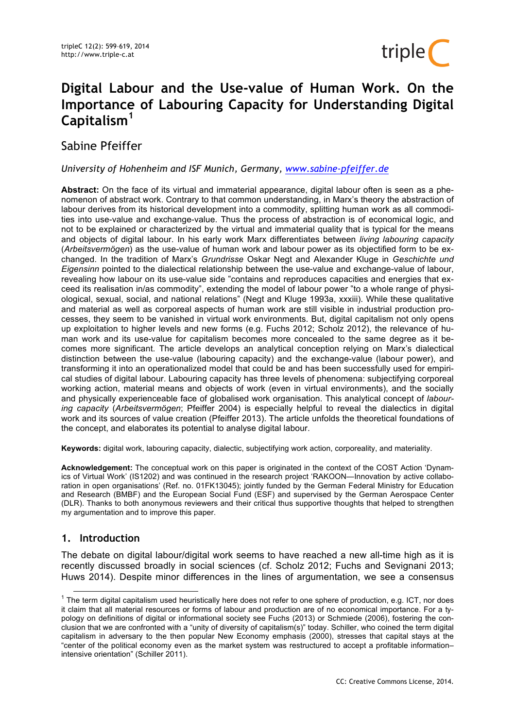

# **Digital Labour and the Use-value of Human Work. On the Importance of Labouring Capacity for Understanding Digital Capitalism<sup>1</sup>**

Sabine Pfeiffer

*University of Hohenheim and ISF Munich, Germany, www.sabine-pfeiffer.de*

**Abstract:** On the face of its virtual and immaterial appearance, digital labour often is seen as a phenomenon of abstract work. Contrary to that common understanding, in Marx's theory the abstraction of labour derives from its historical development into a commodity, splitting human work as all commodities into use-value and exchange-value. Thus the process of abstraction is of economical logic, and not to be explained or characterized by the virtual and immaterial quality that is typical for the means and objects of digital labour. In his early work Marx differentiates between *living labouring capacity* (*Arbeitsvermögen*) as the use-value of human work and labour power as its objectified form to be exchanged. In the tradition of Marx's *Grundrisse* Oskar Negt and Alexander Kluge in *Geschichte und Eigensinn* pointed to the dialectical relationship between the use-value and exchange-value of labour, revealing how labour on its use-value side "contains and reproduces capacities and energies that exceed its realisation in/as commodity", extending the model of labour power "to a whole range of physiological, sexual, social, and national relations" (Negt and Kluge 1993a, xxxiii). While these qualitative and material as well as corporeal aspects of human work are still visible in industrial production processes, they seem to be vanished in virtual work environments. But, digital capitalism not only opens up exploitation to higher levels and new forms (e.g. Fuchs 2012; Scholz 2012), the relevance of human work and its use-value for capitalism becomes more concealed to the same degree as it becomes more significant. The article develops an analytical conception relying on Marx's dialectical distinction between the use-value (labouring capacity) and the exchange-value (labour power), and transforming it into an operationalized model that could be and has been successfully used for empirical studies of digital labour. Labouring capacity has three levels of phenomena: subjectifying corporeal working action, material means and objects of work (even in virtual environments), and the socially and physically experienceable face of globalised work organisation. This analytical concept of *labouring capacity* (*Arbeitsvermögen*; Pfeiffer 2004) is especially helpful to reveal the dialectics in digital work and its sources of value creation (Pfeiffer 2013). The article unfolds the theoretical foundations of the concept, and elaborates its potential to analyse digital labour.

**Keywords:** digital work, labouring capacity, dialectic, subjectifying work action, corporeality, and materiality.

**Acknowledgement:** The conceptual work on this paper is originated in the context of the COST Action 'Dynamics of Virtual Work' (IS1202) and was continued in the research project 'RAKOON—Innovation by active collaboration in open organisations' (Ref. no. 01FK13045); jointly funded by the German Federal Ministry for Education and Research (BMBF) and the European Social Fund (ESF) and supervised by the German Aerospace Center (DLR). Thanks to both anonymous reviewers and their critical thus supportive thoughts that helped to strengthen my argumentation and to improve this paper.

# **1. Introduction**

The debate on digital labour/digital work seems to have reached a new all-time high as it is recently discussed broadly in social sciences (cf. Scholz 2012; Fuchs and Sevignani 2013; Huws 2014). Despite minor differences in the lines of argumentation, we see a consensus

 $1$  The term digital capitalism used heuristically here does not refer to one sphere of production, e.g. ICT, nor does it claim that all material resources or forms of labour and production are of no economical importance. For a typology on definitions of digital or informational society see Fuchs (2013) or Schmiede (2006), fostering the conclusion that we are confronted with a "unity of diversity of capitalism(s)" today. Schiller, who coined the term digital capitalism in adversary to the then popular New Economy emphasis (2000), stresses that capital stays at the "center of the political economy even as the market system was restructured to accept a profitable information– intensive orientation" (Schiller 2011).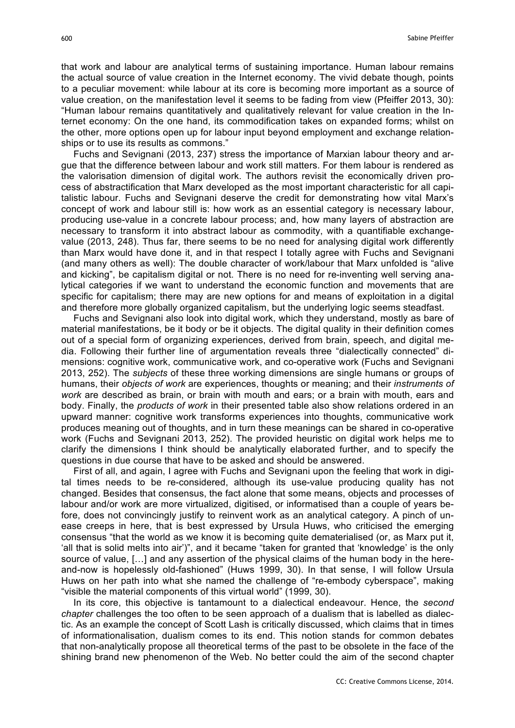that work and labour are analytical terms of sustaining importance. Human labour remains the actual source of value creation in the Internet economy. The vivid debate though, points to a peculiar movement: while labour at its core is becoming more important as a source of value creation, on the manifestation level it seems to be fading from view (Pfeiffer 2013, 30): "Human labour remains quantitatively and qualitatively relevant for value creation in the Internet economy: On the one hand, its commodification takes on expanded forms; whilst on the other, more options open up for labour input beyond employment and exchange relationships or to use its results as commons."

Fuchs and Sevignani (2013, 237) stress the importance of Marxian labour theory and argue that the difference between labour and work still matters. For them labour is rendered as the valorisation dimension of digital work. The authors revisit the economically driven process of abstractification that Marx developed as the most important characteristic for all capitalistic labour. Fuchs and Sevignani deserve the credit for demonstrating how vital Marx's concept of work and labour still is: how work as an essential category is necessary labour, producing use-value in a concrete labour process; and, how many layers of abstraction are necessary to transform it into abstract labour as commodity, with a quantifiable exchangevalue (2013, 248). Thus far, there seems to be no need for analysing digital work differently than Marx would have done it, and in that respect I totally agree with Fuchs and Sevignani (and many others as well): The double character of work/labour that Marx unfolded is "alive and kicking", be capitalism digital or not. There is no need for re-inventing well serving analytical categories if we want to understand the economic function and movements that are specific for capitalism; there may are new options for and means of exploitation in a digital and therefore more globally organized capitalism, but the underlying logic seems steadfast.

Fuchs and Sevignani also look into digital work, which they understand, mostly as bare of material manifestations, be it body or be it objects. The digital quality in their definition comes out of a special form of organizing experiences, derived from brain, speech, and digital media. Following their further line of argumentation reveals three "dialectically connected" dimensions: cognitive work, communicative work, and co-operative work (Fuchs and Sevignani 2013, 252). The *subjects* of these three working dimensions are single humans or groups of humans, their *objects of work* are experiences, thoughts or meaning; and their *instruments of work* are described as brain, or brain with mouth and ears; or a brain with mouth, ears and body. Finally, the *products of work* in their presented table also show relations ordered in an upward manner: cognitive work transforms experiences into thoughts, communicative work produces meaning out of thoughts, and in turn these meanings can be shared in co-operative work (Fuchs and Sevignani 2013, 252). The provided heuristic on digital work helps me to clarify the dimensions I think should be analytically elaborated further, and to specify the questions in due course that have to be asked and should be answered.

First of all, and again, I agree with Fuchs and Sevignani upon the feeling that work in digital times needs to be re-considered, although its use-value producing quality has not changed. Besides that consensus, the fact alone that some means, objects and processes of labour and/or work are more virtualized, digitised, or informatised than a couple of years before, does not convincingly justify to reinvent work as an analytical category. A pinch of unease creeps in here, that is best expressed by Ursula Huws, who criticised the emerging consensus "that the world as we know it is becoming quite dematerialised (or, as Marx put it, 'all that is solid melts into air')", and it became "taken for granted that 'knowledge' is the only source of value, [...] and any assertion of the physical claims of the human body in the hereand-now is hopelessly old-fashioned" (Huws 1999, 30). In that sense, I will follow Ursula Huws on her path into what she named the challenge of "re-embody cyberspace", making "visible the material components of this virtual world" (1999, 30).

In its core, this objective is tantamount to a dialectical endeavour. Hence, the *second chapter* challenges the too often to be seen approach of a dualism that is labelled as dialectic. As an example the concept of Scott Lash is critically discussed, which claims that in times of informationalisation, dualism comes to its end. This notion stands for common debates that non-analytically propose all theoretical terms of the past to be obsolete in the face of the shining brand new phenomenon of the Web. No better could the aim of the second chapter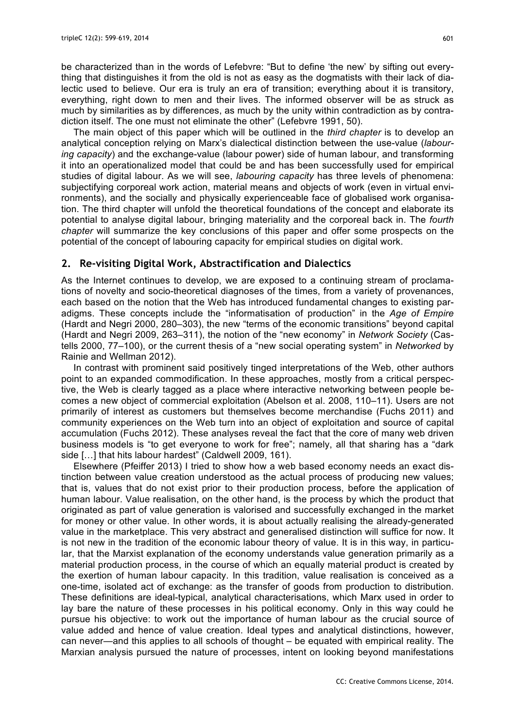be characterized than in the words of Lefebvre: "But to define 'the new' by sifting out everything that distinguishes it from the old is not as easy as the dogmatists with their lack of dialectic used to believe. Our era is truly an era of transition; everything about it is transitory, everything, right down to men and their lives. The informed observer will be as struck as much by similarities as by differences, as much by the unity within contradiction as by contradiction itself. The one must not eliminate the other" (Lefebvre 1991, 50).

The main object of this paper which will be outlined in the *third chapter* is to develop an analytical conception relying on Marx's dialectical distinction between the use-value (*labouring capacity*) and the exchange-value (labour power) side of human labour, and transforming it into an operationalized model that could be and has been successfully used for empirical studies of digital labour. As we will see, *labouring capacity* has three levels of phenomena: subjectifying corporeal work action, material means and objects of work (even in virtual environments), and the socially and physically experienceable face of globalised work organisation. The third chapter will unfold the theoretical foundations of the concept and elaborate its potential to analyse digital labour, bringing materiality and the corporeal back in. The *fourth chapter* will summarize the key conclusions of this paper and offer some prospects on the potential of the concept of labouring capacity for empirical studies on digital work.

## **2. Re-visiting Digital Work, Abstractification and Dialectics**

As the Internet continues to develop, we are exposed to a continuing stream of proclamations of novelty and socio-theoretical diagnoses of the times, from a variety of provenances, each based on the notion that the Web has introduced fundamental changes to existing paradigms. These concepts include the "informatisation of production" in the *Age of Empire* (Hardt and Negri 2000, 280–303), the new "terms of the economic transitions" beyond capital (Hardt and Negri 2009, 263–311), the notion of the "new economy" in *Network Society* (Castells 2000, 77–100), or the current thesis of a "new social operating system" in *Networked* by Rainie and Wellman 2012).

In contrast with prominent said positively tinged interpretations of the Web, other authors point to an expanded commodification. In these approaches, mostly from a critical perspective, the Web is clearly tagged as a place where interactive networking between people becomes a new object of commercial exploitation (Abelson et al. 2008, 110–11). Users are not primarily of interest as customers but themselves become merchandise (Fuchs 2011) and community experiences on the Web turn into an object of exploitation and source of capital accumulation (Fuchs 2012). These analyses reveal the fact that the core of many web driven business models is "to get everyone to work for free"; namely, all that sharing has a "dark side [...] that hits labour hardest" (Caldwell 2009, 161).

Elsewhere (Pfeiffer 2013) I tried to show how a web based economy needs an exact distinction between value creation understood as the actual process of producing new values; that is, values that do not exist prior to their production process, before the application of human labour. Value realisation, on the other hand, is the process by which the product that originated as part of value generation is valorised and successfully exchanged in the market for money or other value. In other words, it is about actually realising the already-generated value in the marketplace. This very abstract and generalised distinction will suffice for now. It is not new in the tradition of the economic labour theory of value. It is in this way, in particular, that the Marxist explanation of the economy understands value generation primarily as a material production process, in the course of which an equally material product is created by the exertion of human labour capacity. In this tradition, value realisation is conceived as a one-time, isolated act of exchange: as the transfer of goods from production to distribution. These definitions are ideal-typical, analytical characterisations, which Marx used in order to lay bare the nature of these processes in his political economy. Only in this way could he pursue his objective: to work out the importance of human labour as the crucial source of value added and hence of value creation. Ideal types and analytical distinctions, however, can never—and this applies to all schools of thought – be equated with empirical reality. The Marxian analysis pursued the nature of processes, intent on looking beyond manifestations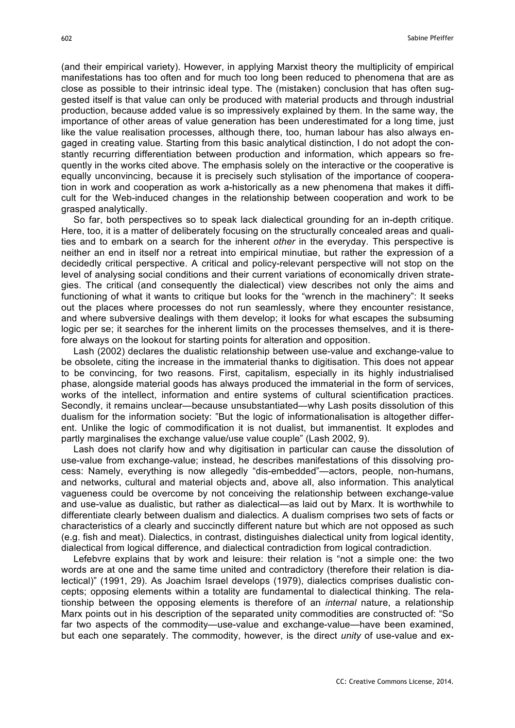(and their empirical variety). However, in applying Marxist theory the multiplicity of empirical manifestations has too often and for much too long been reduced to phenomena that are as close as possible to their intrinsic ideal type. The (mistaken) conclusion that has often suggested itself is that value can only be produced with material products and through industrial production, because added value is so impressively explained by them. In the same way, the importance of other areas of value generation has been underestimated for a long time, just like the value realisation processes, although there, too, human labour has also always engaged in creating value. Starting from this basic analytical distinction, I do not adopt the constantly recurring differentiation between production and information, which appears so frequently in the works cited above. The emphasis solely on the interactive or the cooperative is equally unconvincing, because it is precisely such stylisation of the importance of cooperation in work and cooperation as work a-historically as a new phenomena that makes it difficult for the Web-induced changes in the relationship between cooperation and work to be grasped analytically.

So far, both perspectives so to speak lack dialectical grounding for an in-depth critique. Here, too, it is a matter of deliberately focusing on the structurally concealed areas and qualities and to embark on a search for the inherent *other* in the everyday. This perspective is neither an end in itself nor a retreat into empirical minutiae, but rather the expression of a decidedly critical perspective. A critical and policy-relevant perspective will not stop on the level of analysing social conditions and their current variations of economically driven strategies. The critical (and consequently the dialectical) view describes not only the aims and functioning of what it wants to critique but looks for the "wrench in the machinery": It seeks out the places where processes do not run seamlessly, where they encounter resistance, and where subversive dealings with them develop; it looks for what escapes the subsuming logic per se; it searches for the inherent limits on the processes themselves, and it is therefore always on the lookout for starting points for alteration and opposition.

Lash (2002) declares the dualistic relationship between use-value and exchange-value to be obsolete, citing the increase in the immaterial thanks to digitisation. This does not appear to be convincing, for two reasons. First, capitalism, especially in its highly industrialised phase, alongside material goods has always produced the immaterial in the form of services, works of the intellect, information and entire systems of cultural scientification practices. Secondly, it remains unclear—because unsubstantiated—why Lash posits dissolution of this dualism for the information society: "But the logic of informationalisation is altogether different. Unlike the logic of commodification it is not dualist, but immanentist. It explodes and partly marginalises the exchange value/use value couple" (Lash 2002, 9).

Lash does not clarify how and why digitisation in particular can cause the dissolution of use-value from exchange-value; instead, he describes manifestations of this dissolving process: Namely, everything is now allegedly "dis-embedded"—actors, people, non-humans, and networks, cultural and material objects and, above all, also information. This analytical vagueness could be overcome by not conceiving the relationship between exchange-value and use-value as dualistic, but rather as dialectical—as laid out by Marx. It is worthwhile to differentiate clearly between dualism and dialectics. A dualism comprises two sets of facts or characteristics of a clearly and succinctly different nature but which are not opposed as such (e.g. fish and meat). Dialectics, in contrast, distinguishes dialectical unity from logical identity, dialectical from logical difference, and dialectical contradiction from logical contradiction.

Lefebvre explains that by work and leisure: their relation is "not a simple one: the two words are at one and the same time united and contradictory (therefore their relation is dialectical)" (1991, 29). As Joachim Israel develops (1979), dialectics comprises dualistic concepts; opposing elements within a totality are fundamental to dialectical thinking. The relationship between the opposing elements is therefore of an *internal* nature, a relationship Marx points out in his description of the separated unity commodities are constructed of: "So far two aspects of the commodity—use-value and exchange-value—have been examined, but each one separately. The commodity, however, is the direct *unity* of use-value and ex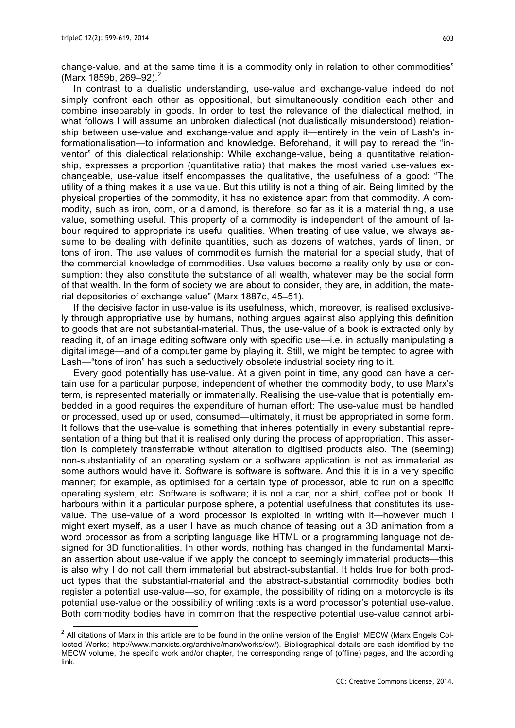change-value, and at the same time it is a commodity only in relation to other commodities" (Marx 1859b, 269–92). 2

In contrast to a dualistic understanding, use-value and exchange-value indeed do not simply confront each other as oppositional, but simultaneously condition each other and combine inseparably in goods. In order to test the relevance of the dialectical method, in what follows I will assume an unbroken dialectical (not dualistically misunderstood) relationship between use-value and exchange-value and apply it—entirely in the vein of Lash's informationalisation—to information and knowledge. Beforehand, it will pay to reread the "inventor" of this dialectical relationship: While exchange-value, being a quantitative relationship, expresses a proportion (quantitative ratio) that makes the most varied use-values exchangeable, use-value itself encompasses the qualitative, the usefulness of a good: "The utility of a thing makes it a use value. But this utility is not a thing of air. Being limited by the physical properties of the commodity, it has no existence apart from that commodity. A commodity, such as iron, corn, or a diamond, is therefore, so far as it is a material thing, a use value, something useful. This property of a commodity is independent of the amount of labour required to appropriate its useful qualities. When treating of use value, we always assume to be dealing with definite quantities, such as dozens of watches, yards of linen, or tons of iron. The use values of commodities furnish the material for a special study, that of the commercial knowledge of commodities. Use values become a reality only by use or consumption: they also constitute the substance of all wealth, whatever may be the social form of that wealth. In the form of society we are about to consider, they are, in addition, the material depositories of exchange value" (Marx 1887c, 45–51).

If the decisive factor in use-value is its usefulness, which, moreover, is realised exclusively through appropriative use by humans, nothing argues against also applying this definition to goods that are not substantial-material. Thus, the use-value of a book is extracted only by reading it, of an image editing software only with specific use—i.e. in actually manipulating a digital image—and of a computer game by playing it. Still, we might be tempted to agree with Lash—"tons of iron" has such a seductively obsolete industrial society ring to it.

Every good potentially has use-value. At a given point in time, any good can have a certain use for a particular purpose, independent of whether the commodity body, to use Marx's term, is represented materially or immaterially. Realising the use-value that is potentially embedded in a good requires the expenditure of human effort: The use-value must be handled or processed, used up or used, consumed—ultimately, it must be appropriated in some form. It follows that the use-value is something that inheres potentially in every substantial representation of a thing but that it is realised only during the process of appropriation. This assertion is completely transferrable without alteration to digitised products also. The (seeming) non-substantiality of an operating system or a software application is not as immaterial as some authors would have it. Software is software is software. And this it is in a very specific manner; for example, as optimised for a certain type of processor, able to run on a specific operating system, etc. Software is software; it is not a car, nor a shirt, coffee pot or book. It harbours within it a particular purpose sphere, a potential usefulness that constitutes its usevalue. The use-value of a word processor is exploited in writing with it—however much I might exert myself, as a user I have as much chance of teasing out a 3D animation from a word processor as from a scripting language like HTML or a programming language not designed for 3D functionalities. In other words, nothing has changed in the fundamental Marxian assertion about use-value if we apply the concept to seemingly immaterial products—this is also why I do not call them immaterial but abstract-substantial. It holds true for both product types that the substantial-material and the abstract-substantial commodity bodies both register a potential use-value—so, for example, the possibility of riding on a motorcycle is its potential use-value or the possibility of writing texts is a word processor's potential use-value. Both commodity bodies have in common that the respective potential use-value cannot arbi-

 $2$  All citations of Marx in this article are to be found in the online version of the English MECW (Marx Engels Collected Works; http://www.marxists.org/archive/marx/works/cw/). Bibliographical details are each identified by the MECW volume, the specific work and/or chapter, the corresponding range of (offline) pages, and the according link.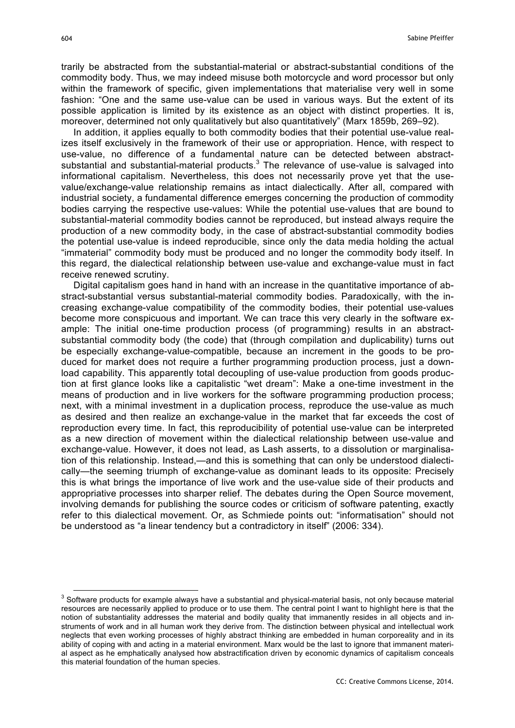trarily be abstracted from the substantial-material or abstract-substantial conditions of the commodity body. Thus, we may indeed misuse both motorcycle and word processor but only within the framework of specific, given implementations that materialise very well in some fashion: "One and the same use-value can be used in various ways. But the extent of its possible application is limited by its existence as an object with distinct properties. It is, moreover, determined not only qualitatively but also quantitatively" (Marx 1859b, 269–92).

In addition, it applies equally to both commodity bodies that their potential use-value realizes itself exclusively in the framework of their use or appropriation. Hence, with respect to use-value, no difference of a fundamental nature can be detected between abstractsubstantial and substantial-material products. $3$  The relevance of use-value is salvaged into informational capitalism. Nevertheless, this does not necessarily prove yet that the usevalue/exchange-value relationship remains as intact dialectically. After all, compared with industrial society, a fundamental difference emerges concerning the production of commodity bodies carrying the respective use-values: While the potential use-values that are bound to substantial-material commodity bodies cannot be reproduced, but instead always require the production of a new commodity body, in the case of abstract-substantial commodity bodies the potential use-value is indeed reproducible, since only the data media holding the actual "immaterial" commodity body must be produced and no longer the commodity body itself. In this regard, the dialectical relationship between use-value and exchange-value must in fact receive renewed scrutiny.

Digital capitalism goes hand in hand with an increase in the quantitative importance of abstract-substantial versus substantial-material commodity bodies. Paradoxically, with the increasing exchange-value compatibility of the commodity bodies, their potential use-values become more conspicuous and important. We can trace this very clearly in the software example: The initial one-time production process (of programming) results in an abstractsubstantial commodity body (the code) that (through compilation and duplicability) turns out be especially exchange-value-compatible, because an increment in the goods to be produced for market does not require a further programming production process, just a download capability. This apparently total decoupling of use-value production from goods production at first glance looks like a capitalistic "wet dream": Make a one-time investment in the means of production and in live workers for the software programming production process; next, with a minimal investment in a duplication process, reproduce the use-value as much as desired and then realize an exchange-value in the market that far exceeds the cost of reproduction every time. In fact, this reproducibility of potential use-value can be interpreted as a new direction of movement within the dialectical relationship between use-value and exchange-value. However, it does not lead, as Lash asserts, to a dissolution or marginalisation of this relationship. Instead,—and this is something that can only be understood dialectically—the seeming triumph of exchange-value as dominant leads to its opposite: Precisely this is what brings the importance of live work and the use-value side of their products and appropriative processes into sharper relief. The debates during the Open Source movement, involving demands for publishing the source codes or criticism of software patenting, exactly refer to this dialectical movement. Or, as Schmiede points out: "informatisation" should not be understood as "a linear tendency but a contradictory in itself" (2006: 334).

 $3$  Software products for example always have a substantial and physical-material basis, not only because material resources are necessarily applied to produce or to use them. The central point I want to highlight here is that the notion of substantiality addresses the material and bodily quality that immanently resides in all objects and instruments of work and in all human work they derive from. The distinction between physical and intellectual work neglects that even working processes of highly abstract thinking are embedded in human corporeality and in its ability of coping with and acting in a material environment. Marx would be the last to ignore that immanent material aspect as he emphatically analysed how abstractification driven by economic dynamics of capitalism conceals this material foundation of the human species.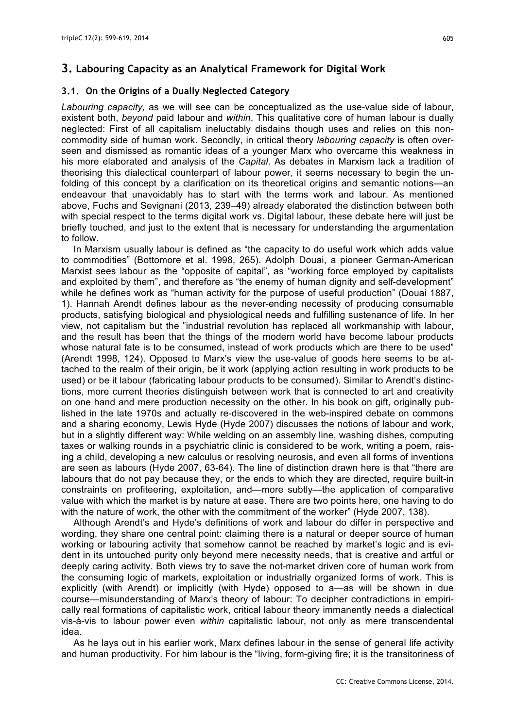#### **3.1. On the Origins of a Dually Neglected Category**

*Labouring capacity,* as we will see can be conceptualized as the use-value side of labour, existent both, *beyond* paid labour and *within*. This qualitative core of human labour is dually neglected: First of all capitalism ineluctably disdains though uses and relies on this noncommodity side of human work. Secondly, in critical theory *labouring capacity* is often overseen and dismissed as romantic ideas of a younger Marx who overcame this weakness in his more elaborated and analysis of the *Capital*. As debates in Marxism lack a tradition of theorising this dialectical counterpart of labour power, it seems necessary to begin the unfolding of this concept by a clarification on its theoretical origins and semantic notions—an endeavour that unavoidably has to start with the terms work and labour. As mentioned above, Fuchs and Sevignani (2013, 239–49) already elaborated the distinction between both with special respect to the terms digital work vs. Digital labour, these debate here will just be briefly touched, and just to the extent that is necessary for understanding the argumentation to follow.

In Marxism usually labour is defined as "the capacity to do useful work which adds value to commodities" (Bottomore et al. 1998, 265). Adolph Douai, a pioneer German-American Marxist sees labour as the "opposite of capital", as "working force employed by capitalists and exploited by them", and therefore as "the enemy of human dignity and self-development" while he defines work as "human activity for the purpose of useful production" (Douai 1887, 1). Hannah Arendt defines labour as the never-ending necessity of producing consumable products, satisfying biological and physiological needs and fulfilling sustenance of life. In her view, not capitalism but the "industrial revolution has replaced all workmanship with labour, and the result has been that the things of the modern world have become labour products whose natural fate is to be consumed, instead of work products which are there to be used" (Arendt 1998, 124). Opposed to Marx's view the use-value of goods here seems to be attached to the realm of their origin, be it work (applying action resulting in work products to be used) or be it labour (fabricating labour products to be consumed). Similar to Arendt's distinctions, more current theories distinguish between work that is connected to art and creativity on one hand and mere production necessity on the other. In his book on gift, originally published in the late 1970s and actually re-discovered in the web-inspired debate on commons and a sharing economy, Lewis Hyde (Hyde 2007) discusses the notions of labour and work, but in a slightly different way: While welding on an assembly line, washing dishes, computing taxes or walking rounds in a psychiatric clinic is considered to be work, writing a poem, raising a child, developing a new calculus or resolving neurosis, and even all forms of inventions are seen as labours (Hyde 2007, 63-64). The line of distinction drawn here is that "there are labours that do not pay because they, or the ends to which they are directed, require built-in constraints on profiteering, exploitation, and—more subtly—the application of comparative value with which the market is by nature at ease. There are two points here, one having to do with the nature of work, the other with the commitment of the worker" (Hyde 2007, 138).

Although Arendt's and Hyde's definitions of work and labour do differ in perspective and wording, they share one central point: claiming there is a natural or deeper source of human working or labouring activity that somehow cannot be reached by market's logic and is evident in its untouched purity only beyond mere necessity needs, that is creative and artful or deeply caring activity. Both views try to save the not-market driven core of human work from the consuming logic of markets, exploitation or industrially organized forms of work. This is explicitly (with Arendt) or implicitly (with Hyde) opposed to a—as will be shown in due course—misunderstanding of Marx's theory of labour: To decipher contradictions in empirically real formations of capitalistic work, critical labour theory immanently needs a dialectical vis-à-vis to labour power even *within* capitalistic labour, not only as mere transcendental idea.

As he lays out in his earlier work, Marx defines labour in the sense of general life activity and human productivity. For him labour is the "living, form-giving fire; it is the transitoriness of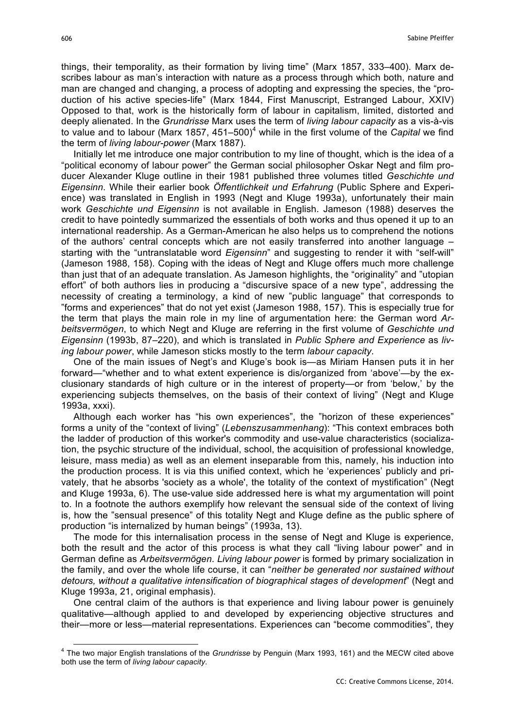things, their temporality, as their formation by living time" (Marx 1857, 333–400). Marx describes labour as man's interaction with nature as a process through which both, nature and man are changed and changing, a process of adopting and expressing the species, the "production of his active species-life" (Marx 1844, First Manuscript, Estranged Labour, XXIV) Opposed to that, work is the historically form of labour in capitalism, limited, distorted and deeply alienated. In the *Grundrisse* Marx uses the term of *living labour capacity* as a vis-à-vis to value and to labour (Marx 1857, 451–500)<sup>4</sup> while in the first volume of the *Capital* we find the term of *living labour-power* (Marx 1887).

Initially let me introduce one major contribution to my line of thought, which is the idea of a "political economy of labour power" the German social philosopher Oskar Negt and film producer Alexander Kluge outline in their 1981 published three volumes titled *Geschichte und Eigensinn*. While their earlier book *Öffentlichkeit und Erfahrung* (Public Sphere and Experience) was translated in English in 1993 (Negt and Kluge 1993a), unfortunately their main work *Geschichte und Eigensinn* is not available in English. Jameson (1988) deserves the credit to have pointedly summarized the essentials of both works and thus opened it up to an international readership. As a German-American he also helps us to comprehend the notions of the authors' central concepts which are not easily transferred into another language – starting with the "untranslatable word *Eigensinn*" and suggesting to render it with "self-will" (Jameson 1988, 158). Coping with the ideas of Negt and Kluge offers much more challenge than just that of an adequate translation. As Jameson highlights, the "originality" and "utopian effort" of both authors lies in producing a "discursive space of a new type", addressing the necessity of creating a terminology, a kind of new "public language" that corresponds to "forms and experiences" that do not yet exist (Jameson 1988, 157). This is especially true for the term that plays the main role in my line of argumentation here: the German word *Arbeitsvermögen*, to which Negt and Kluge are referring in the first volume of *Geschichte und Eigensinn* (1993b, 87–220), and which is translated in *Public Sphere and Experience* as *living labour power*, while Jameson sticks mostly to the term *labour capacity*.

One of the main issues of Negt's and Kluge's book is—as Miriam Hansen puts it in her forward—"whether and to what extent experience is dis/organized from 'above'—by the exclusionary standards of high culture or in the interest of property—or from 'below,' by the experiencing subjects themselves, on the basis of their context of living" (Negt and Kluge 1993a, xxxi).

Although each worker has "his own experiences", the "horizon of these experiences" forms a unity of the "context of living" (*Lebenszusammenhang*): "This context embraces both the ladder of production of this worker's commodity and use-value characteristics (socialization, the psychic structure of the individual, school, the acquisition of professional knowledge, leisure, mass media) as well as an element inseparable from this, namely, his induction into the production process. It is via this unified context, which he 'experiences' publicly and privately, that he absorbs 'society as a whole', the totality of the context of mystification" (Negt and Kluge 1993a, 6). The use-value side addressed here is what my argumentation will point to. In a footnote the authors exemplify how relevant the sensual side of the context of living is, how the "sensual presence" of this totality Negt and Kluge define as the public sphere of production "is internalized by human beings" (1993a, 13).

The mode for this internalisation process in the sense of Negt and Kluge is experience, both the result and the actor of this process is what they call "living labour power" and in German define as *Arbeitsvermögen*. *Living labour power* is formed by primary socialization in the family, and over the whole life course, it can "*neither be generated nor sustained without detours, without a qualitative intensification of biographical stages of development*" (Negt and Kluge 1993a, 21, original emphasis).

One central claim of the authors is that experience and living labour power is genuinely qualitative—although applied to and developed by experiencing objective structures and their—more or less—material representations. Experiences can "become commodities", they

 <sup>4</sup> The two major English translations of the *Grundrisse* by Penguin (Marx 1993, 161) and the MECW cited above both use the term of *living labour capacity*.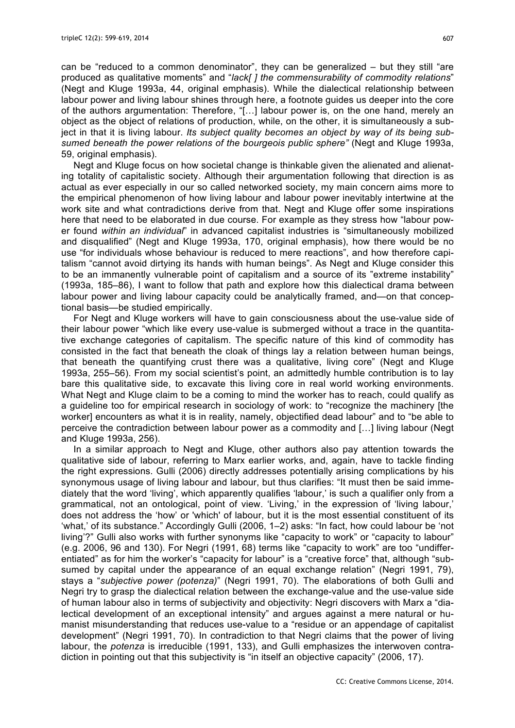can be "reduced to a common denominator", they can be generalized – but they still "are produced as qualitative moments" and "*lack[ ] the commensurability of commodity relations*" (Negt and Kluge 1993a, 44, original emphasis). While the dialectical relationship between labour power and living labour shines through here, a footnote guides us deeper into the core of the authors argumentation: Therefore, "[…] labour power is, on the one hand, merely an object as the object of relations of production, while, on the other, it is simultaneously a subject in that it is living labour. *Its subject quality becomes an object by way of its being subsumed beneath the power relations of the bourgeois public sphere"* (Negt and Kluge 1993a, 59, original emphasis).

Negt and Kluge focus on how societal change is thinkable given the alienated and alienating totality of capitalistic society. Although their argumentation following that direction is as actual as ever especially in our so called networked society, my main concern aims more to the empirical phenomenon of how living labour and labour power inevitably intertwine at the work site and what contradictions derive from that. Negt and Kluge offer some inspirations here that need to be elaborated in due course. For example as they stress how "labour power found *within an individual*" in advanced capitalist industries is "simultaneously mobilized and disqualified" (Negt and Kluge 1993a, 170, original emphasis), how there would be no use "for individuals whose behaviour is reduced to mere reactions", and how therefore capitalism "cannot avoid dirtying its hands with human beings". As Negt and Kluge consider this to be an immanently vulnerable point of capitalism and a source of its "extreme instability" (1993a, 185–86), I want to follow that path and explore how this dialectical drama between labour power and living labour capacity could be analytically framed, and—on that conceptional basis—be studied empirically.

For Negt and Kluge workers will have to gain consciousness about the use-value side of their labour power "which like every use-value is submerged without a trace in the quantitative exchange categories of capitalism. The specific nature of this kind of commodity has consisted in the fact that beneath the cloak of things lay a relation between human beings, that beneath the quantifying crust there was a qualitative, living core" (Negt and Kluge 1993a, 255–56). From my social scientist's point, an admittedly humble contribution is to lay bare this qualitative side, to excavate this living core in real world working environments. What Negt and Kluge claim to be a coming to mind the worker has to reach, could qualify as a guideline too for empirical research in sociology of work: to "recognize the machinery [the worker] encounters as what it is in reality, namely, objectified dead labour" and to "be able to perceive the contradiction between labour power as a commodity and […] living labour (Negt and Kluge 1993a, 256).

In a similar approach to Negt and Kluge, other authors also pay attention towards the qualitative side of labour, referring to Marx earlier works, and, again, have to tackle finding the right expressions. Gulli (2006) directly addresses potentially arising complications by his synonymous usage of living labour and labour, but thus clarifies: "It must then be said immediately that the word 'living', which apparently qualifies 'labour,' is such a qualifier only from a grammatical, not an ontological, point of view. 'Living,' in the expression of 'living labour,' does not address the 'how' or 'which' of labour, but it is the most essential constituent of its 'what,' of its substance." Accordingly Gulli (2006, 1–2) asks: "In fact, how could labour be 'not living'?" Gulli also works with further synonyms like "capacity to work" or "capacity to labour" (e.g. 2006, 96 and 130). For Negri (1991, 68) terms like "capacity to work" are too "undifferentiated" as for him the worker's "capacity for labour" is a "creative force" that, although "subsumed by capital under the appearance of an equal exchange relation" (Negri 1991, 79), stays a "*subjective power (potenza)*" (Negri 1991, 70). The elaborations of both Gulli and Negri try to grasp the dialectical relation between the exchange-value and the use-value side of human labour also in terms of subjectivity and objectivity: Negri discovers with Marx a "dialectical development of an exceptional intensity" and argues against a mere natural or humanist misunderstanding that reduces use-value to a "residue or an appendage of capitalist development" (Negri 1991, 70). In contradiction to that Negri claims that the power of living labour, the *potenza* is irreducible (1991, 133), and Gulli emphasizes the interwoven contradiction in pointing out that this subjectivity is "in itself an objective capacity" (2006, 17).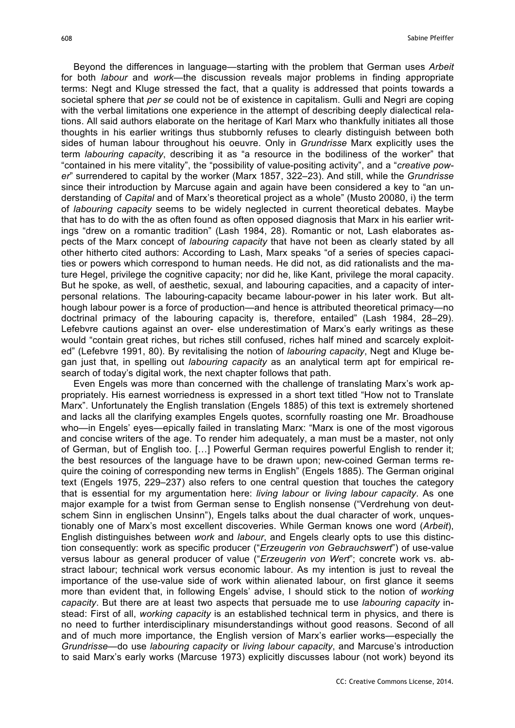Beyond the differences in language—starting with the problem that German uses *Arbeit* for both *labour* and *work*—the discussion reveals major problems in finding appropriate terms: Negt and Kluge stressed the fact, that a quality is addressed that points towards a societal sphere that *per se* could not be of existence in capitalism. Gulli and Negri are coping with the verbal limitations one experience in the attempt of describing deeply dialectical relations. All said authors elaborate on the heritage of Karl Marx who thankfully initiates all those thoughts in his earlier writings thus stubbornly refuses to clearly distinguish between both sides of human labour throughout his oeuvre. Only in *Grundrisse* Marx explicitly uses the term *labouring capacity*, describing it as "a resource in the bodiliness of the worker" that "contained in his mere vitality", the "possibility of value-positing activity", and a "*creative power*" surrendered to capital by the worker (Marx 1857, 322–23). And still, while the *Grundrisse* since their introduction by Marcuse again and again have been considered a key to "an understanding of *Capital* and of Marx's theoretical project as a whole" (Musto 20080, i) the term of *labouring capacity* seems to be widely neglected in current theoretical debates. Maybe that has to do with the as often found as often opposed diagnosis that Marx in his earlier writings "drew on a romantic tradition" (Lash 1984, 28). Romantic or not, Lash elaborates aspects of the Marx concept of *labouring capacity* that have not been as clearly stated by all other hitherto cited authors: According to Lash, Marx speaks "of a series of species capacities or powers which correspond to human needs. He did not, as did rationalists and the mature Hegel, privilege the cognitive capacity; nor did he, like Kant, privilege the moral capacity. But he spoke, as well, of aesthetic, sexual, and labouring capacities, and a capacity of interpersonal relations. The labouring-capacity became labour-power in his later work. But although labour power is a force of production—and hence is attributed theoretical primacy—no doctrinal primacy of the labouring capacity is, therefore, entailed" (Lash 1984, 28–29). Lefebvre cautions against an over- else underestimation of Marx's early writings as these would "contain great riches, but riches still confused, riches half mined and scarcely exploited" (Lefebvre 1991, 80). By revitalising the notion of *labouring capacity*, Negt and Kluge began just that, in spelling out *labouring capacity* as an analytical term apt for empirical research of today's digital work, the next chapter follows that path.

Even Engels was more than concerned with the challenge of translating Marx's work appropriately. His earnest worriedness is expressed in a short text titled "How not to Translate Marx". Unfortunately the English translation (Engels 1885) of this text is extremely shortened and lacks all the clarifying examples Engels quotes, scornfully roasting one Mr. Broadhouse who—in Engels' eyes—epically failed in translating Marx: "Marx is one of the most vigorous and concise writers of the age. To render him adequately, a man must be a master, not only of German, but of English too. […] Powerful German requires powerful English to render it; the best resources of the language have to be drawn upon; new-coined German terms require the coining of corresponding new terms in English" (Engels 1885). The German original text (Engels 1975, 229–237) also refers to one central question that touches the category that is essential for my argumentation here: *living labour* or *living labour capacity*. As one major example for a twist from German sense to English nonsense ("Verdrehung von deutschem Sinn in englischen Unsinn"), Engels talks about the dual character of work, unquestionably one of Marx's most excellent discoveries. While German knows one word (*Arbeit*), English distinguishes between *work* and *labour*, and Engels clearly opts to use this distinction consequently: work as specific producer ("*Erzeugerin von Gebrauchswert*") of use-value versus labour as general producer of value ("*Erzeugerin von Wert*"; concrete work vs. abstract labour; technical work versus economic labour. As my intention is just to reveal the importance of the use-value side of work within alienated labour, on first glance it seems more than evident that, in following Engels' advise, I should stick to the notion of *working capacity*. But there are at least two aspects that persuade me to use *labouring capacity* instead: First of all, *working capacity* is an established technical term in physics, and there is no need to further interdisciplinary misunderstandings without good reasons. Second of all and of much more importance, the English version of Marx's earlier works—especially the *Grundrisse*—do use *labouring capacity* or *living labour capacity*, and Marcuse's introduction to said Marx's early works (Marcuse 1973) explicitly discusses labour (not work) beyond its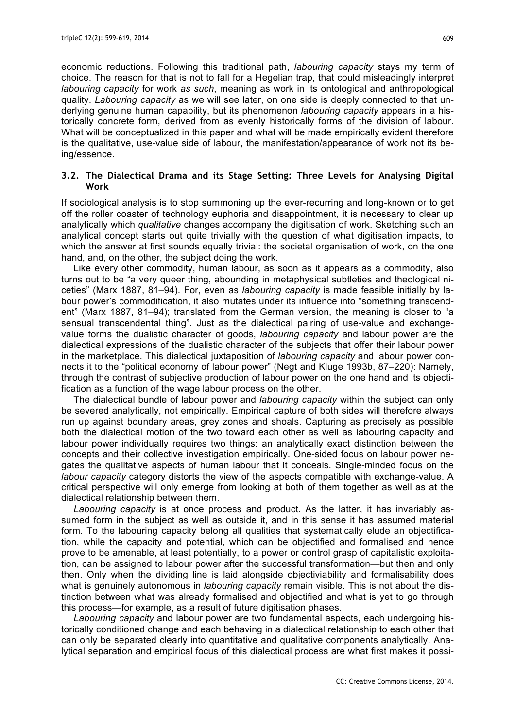economic reductions. Following this traditional path, *labouring capacity* stays my term of choice. The reason for that is not to fall for a Hegelian trap, that could misleadingly interpret *labouring capacity* for work *as such*, meaning as work in its ontological and anthropological quality. *Labouring capacity* as we will see later, on one side is deeply connected to that underlying genuine human capability, but its phenomenon *labouring capacity* appears in a historically concrete form, derived from as evenly historically forms of the division of labour. What will be conceptualized in this paper and what will be made empirically evident therefore is the qualitative, use-value side of labour, the manifestation/appearance of work not its being/essence.

### **3.2. The Dialectical Drama and its Stage Setting: Three Levels for Analysing Digital Work**

If sociological analysis is to stop summoning up the ever-recurring and long-known or to get off the roller coaster of technology euphoria and disappointment, it is necessary to clear up analytically which *qualitative* changes accompany the digitisation of work. Sketching such an analytical concept starts out quite trivially with the question of what digitisation impacts, to which the answer at first sounds equally trivial: the societal organisation of work, on the one hand, and, on the other, the subject doing the work.

Like every other commodity, human labour, as soon as it appears as a commodity, also turns out to be "a very queer thing, abounding in metaphysical subtleties and theological niceties" (Marx 1887, 81–94). For, even as *labouring capacity* is made feasible initially by labour power's commodification, it also mutates under its influence into "something transcendent" (Marx 1887, 81–94); translated from the German version, the meaning is closer to "a sensual transcendental thing". Just as the dialectical pairing of use-value and exchangevalue forms the dualistic character of goods, *labouring capacity* and labour power are the dialectical expressions of the dualistic character of the subjects that offer their labour power in the marketplace. This dialectical juxtaposition of *labouring capacity* and labour power connects it to the "political economy of labour power" (Negt and Kluge 1993b, 87–220): Namely, through the contrast of subjective production of labour power on the one hand and its objectification as a function of the wage labour process on the other.

The dialectical bundle of labour power and *labouring capacity* within the subject can only be severed analytically, not empirically. Empirical capture of both sides will therefore always run up against boundary areas, grey zones and shoals. Capturing as precisely as possible both the dialectical motion of the two toward each other as well as labouring capacity and labour power individually requires two things: an analytically exact distinction between the concepts and their collective investigation empirically. One-sided focus on labour power negates the qualitative aspects of human labour that it conceals. Single-minded focus on the *labour capacity* category distorts the view of the aspects compatible with exchange-value. A critical perspective will only emerge from looking at both of them together as well as at the dialectical relationship between them.

*Labouring capacity* is at once process and product. As the latter, it has invariably assumed form in the subject as well as outside it, and in this sense it has assumed material form. To the labouring capacity belong all qualities that systematically elude an objectification, while the capacity and potential, which can be objectified and formalised and hence prove to be amenable, at least potentially, to a power or control grasp of capitalistic exploitation, can be assigned to labour power after the successful transformation—but then and only then. Only when the dividing line is laid alongside objectiviability and formalisability does what is genuinely autonomous in *labouring capacity* remain visible. This is not about the distinction between what was already formalised and objectified and what is yet to go through this process—for example, as a result of future digitisation phases.

*Labouring capacity* and labour power are two fundamental aspects, each undergoing historically conditioned change and each behaving in a dialectical relationship to each other that can only be separated clearly into quantitative and qualitative components analytically. Analytical separation and empirical focus of this dialectical process are what first makes it possi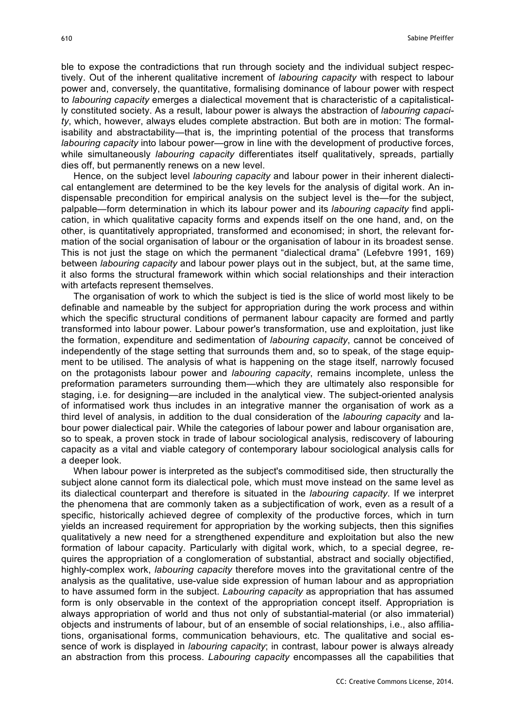ble to expose the contradictions that run through society and the individual subject respectively. Out of the inherent qualitative increment of *labouring capacity* with respect to labour power and, conversely, the quantitative, formalising dominance of labour power with respect to *labouring capacity* emerges a dialectical movement that is characteristic of a capitalistically constituted society. As a result, labour power is always the abstraction of *labouring capacity*, which, however, always eludes complete abstraction. But both are in motion: The formalisability and abstractability—that is, the imprinting potential of the process that transforms *labouring capacity* into labour power—grow in line with the development of productive forces, while simultaneously *labouring capacity* differentiates itself qualitatively, spreads, partially dies off, but permanently renews on a new level.

Hence, on the subject level *labouring capacity* and labour power in their inherent dialectical entanglement are determined to be the key levels for the analysis of digital work. An indispensable precondition for empirical analysis on the subject level is the—for the subject, palpable—form determination in which its labour power and its *labouring capacity* find application, in which qualitative capacity forms and expends itself on the one hand, and, on the other, is quantitatively appropriated, transformed and economised; in short, the relevant formation of the social organisation of labour or the organisation of labour in its broadest sense. This is not just the stage on which the permanent "dialectical drama" (Lefebvre 1991, 169) between *labouring capacity* and labour power plays out in the subject, but, at the same time, it also forms the structural framework within which social relationships and their interaction with artefacts represent themselves.

The organisation of work to which the subject is tied is the slice of world most likely to be definable and nameable by the subject for appropriation during the work process and within which the specific structural conditions of permanent labour capacity are formed and partly transformed into labour power. Labour power's transformation, use and exploitation, just like the formation, expenditure and sedimentation of *labouring capacity*, cannot be conceived of independently of the stage setting that surrounds them and, so to speak, of the stage equipment to be utilised. The analysis of what is happening on the stage itself, narrowly focused on the protagonists labour power and *labouring capacity*, remains incomplete, unless the preformation parameters surrounding them—which they are ultimately also responsible for staging, i.e. for designing—are included in the analytical view. The subject-oriented analysis of informatised work thus includes in an integrative manner the organisation of work as a third level of analysis, in addition to the dual consideration of the *labouring capacity* and labour power dialectical pair. While the categories of labour power and labour organisation are, so to speak, a proven stock in trade of labour sociological analysis, rediscovery of labouring capacity as a vital and viable category of contemporary labour sociological analysis calls for a deeper look.

When labour power is interpreted as the subject's commoditised side, then structurally the subject alone cannot form its dialectical pole, which must move instead on the same level as its dialectical counterpart and therefore is situated in the *labouring capacity*. If we interpret the phenomena that are commonly taken as a subjectification of work, even as a result of a specific, historically achieved degree of complexity of the productive forces, which in turn yields an increased requirement for appropriation by the working subjects, then this signifies qualitatively a new need for a strengthened expenditure and exploitation but also the new formation of labour capacity. Particularly with digital work, which, to a special degree, requires the appropriation of a conglomeration of substantial, abstract and socially objectified, highly-complex work, *labouring capacity* therefore moves into the gravitational centre of the analysis as the qualitative, use-value side expression of human labour and as appropriation to have assumed form in the subject. *Labouring capacity* as appropriation that has assumed form is only observable in the context of the appropriation concept itself. Appropriation is always appropriation of world and thus not only of substantial-material (or also immaterial) objects and instruments of labour, but of an ensemble of social relationships, i.e., also affiliations, organisational forms, communication behaviours, etc. The qualitative and social essence of work is displayed in *labouring capacity*; in contrast, labour power is always already an abstraction from this process. *Labouring capacity* encompasses all the capabilities that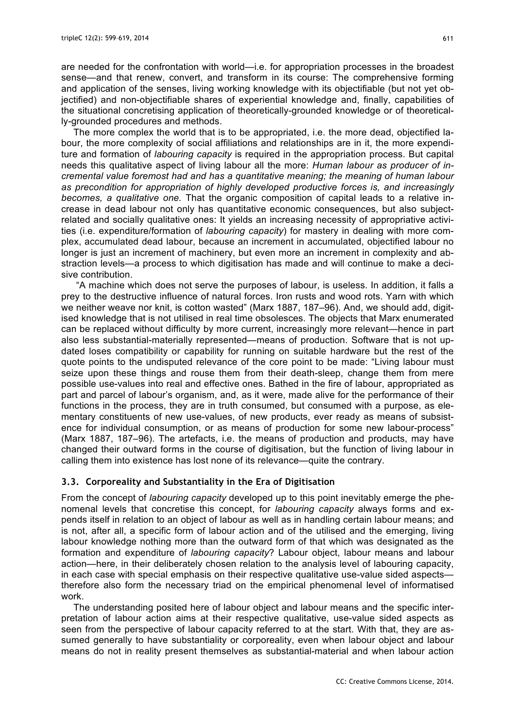are needed for the confrontation with world—i.e. for appropriation processes in the broadest sense—and that renew, convert, and transform in its course: The comprehensive forming and application of the senses, living working knowledge with its objectifiable (but not yet objectified) and non-objectifiable shares of experiential knowledge and, finally, capabilities of the situational concretising application of theoretically-grounded knowledge or of theoretically-grounded procedures and methods.

The more complex the world that is to be appropriated, i.e. the more dead, objectified labour, the more complexity of social affiliations and relationships are in it, the more expenditure and formation of *labouring capacity* is required in the appropriation process. But capital needs this qualitative aspect of living labour all the more: *Human labour as producer of incremental value foremost had and has a quantitative meaning; the meaning of human labour as precondition for appropriation of highly developed productive forces is, and increasingly becomes, a qualitative one.* That the organic composition of capital leads to a relative increase in dead labour not only has quantitative economic consequences, but also subjectrelated and socially qualitative ones: It yields an increasing necessity of appropriative activities (i.e. expenditure/formation of *labouring capacity*) for mastery in dealing with more complex, accumulated dead labour, because an increment in accumulated, objectified labour no longer is just an increment of machinery, but even more an increment in complexity and abstraction levels—a process to which digitisation has made and will continue to make a decisive contribution.

"A machine which does not serve the purposes of labour, is useless. In addition, it falls a prey to the destructive influence of natural forces. Iron rusts and wood rots. Yarn with which we neither weave nor knit, is cotton wasted" (Marx 1887, 187–96). And, we should add, digitised knowledge that is not utilised in real time obsolesces. The objects that Marx enumerated can be replaced without difficulty by more current, increasingly more relevant—hence in part also less substantial-materially represented—means of production. Software that is not updated loses compatibility or capability for running on suitable hardware but the rest of the quote points to the undisputed relevance of the core point to be made: "Living labour must seize upon these things and rouse them from their death-sleep, change them from mere possible use-values into real and effective ones. Bathed in the fire of labour, appropriated as part and parcel of labour's organism, and, as it were, made alive for the performance of their functions in the process, they are in truth consumed, but consumed with a purpose, as elementary constituents of new use-values, of new products, ever ready as means of subsistence for individual consumption, or as means of production for some new labour-process" (Marx 1887, 187–96). The artefacts, i.e. the means of production and products, may have changed their outward forms in the course of digitisation, but the function of living labour in calling them into existence has lost none of its relevance—quite the contrary.

#### **3.3. Corporeality and Substantiality in the Era of Digitisation**

From the concept of *labouring capacity* developed up to this point inevitably emerge the phenomenal levels that concretise this concept, for *labouring capacity* always forms and expends itself in relation to an object of labour as well as in handling certain labour means; and is not, after all, a specific form of labour action and of the utilised and the emerging, living labour knowledge nothing more than the outward form of that which was designated as the formation and expenditure of *labouring capacity*? Labour object, labour means and labour action—here, in their deliberately chosen relation to the analysis level of labouring capacity, in each case with special emphasis on their respective qualitative use-value sided aspects therefore also form the necessary triad on the empirical phenomenal level of informatised work.

The understanding posited here of labour object and labour means and the specific interpretation of labour action aims at their respective qualitative, use-value sided aspects as seen from the perspective of labour capacity referred to at the start. With that, they are assumed generally to have substantiality or corporeality, even when labour object and labour means do not in reality present themselves as substantial-material and when labour action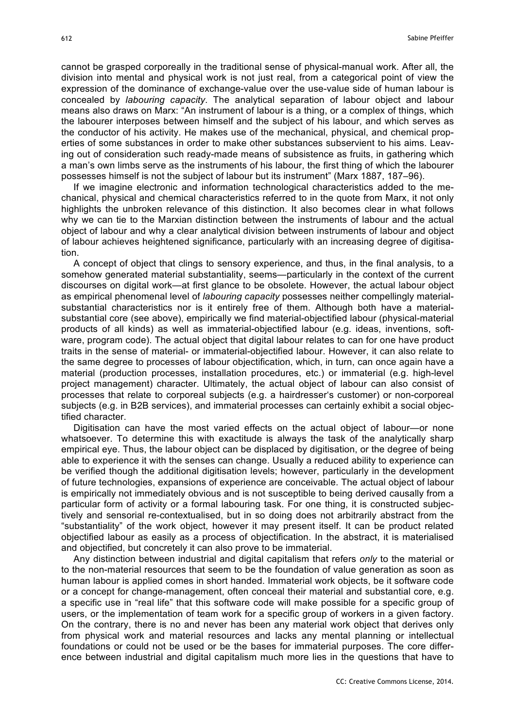cannot be grasped corporeally in the traditional sense of physical-manual work. After all, the division into mental and physical work is not just real, from a categorical point of view the expression of the dominance of exchange-value over the use-value side of human labour is concealed by *labouring capacity*. The analytical separation of labour object and labour means also draws on Marx: "An instrument of labour is a thing, or a complex of things, which the labourer interposes between himself and the subject of his labour, and which serves as the conductor of his activity. He makes use of the mechanical, physical, and chemical properties of some substances in order to make other substances subservient to his aims. Leaving out of consideration such ready-made means of subsistence as fruits, in gathering which a man's own limbs serve as the instruments of his labour, the first thing of which the labourer possesses himself is not the subject of labour but its instrument" (Marx 1887, 187–96).

If we imagine electronic and information technological characteristics added to the mechanical, physical and chemical characteristics referred to in the quote from Marx, it not only highlights the unbroken relevance of this distinction. It also becomes clear in what follows why we can tie to the Marxian distinction between the instruments of labour and the actual object of labour and why a clear analytical division between instruments of labour and object of labour achieves heightened significance, particularly with an increasing degree of digitisation.

A concept of object that clings to sensory experience, and thus, in the final analysis, to a somehow generated material substantiality, seems—particularly in the context of the current discourses on digital work—at first glance to be obsolete. However, the actual labour object as empirical phenomenal level of *labouring capacity* possesses neither compellingly materialsubstantial characteristics nor is it entirely free of them. Although both have a materialsubstantial core (see above), empirically we find material-objectified labour (physical-material products of all kinds) as well as immaterial-objectified labour (e.g. ideas, inventions, software, program code). The actual object that digital labour relates to can for one have product traits in the sense of material- or immaterial-objectified labour. However, it can also relate to the same degree to processes of labour objectification, which, in turn, can once again have a material (production processes, installation procedures, etc.) or immaterial (e.g. high-level project management) character. Ultimately, the actual object of labour can also consist of processes that relate to corporeal subjects (e.g. a hairdresser's customer) or non-corporeal subjects (e.g. in B2B services), and immaterial processes can certainly exhibit a social objectified character.

Digitisation can have the most varied effects on the actual object of labour—or none whatsoever. To determine this with exactitude is always the task of the analytically sharp empirical eye. Thus, the labour object can be displaced by digitisation, or the degree of being able to experience it with the senses can change. Usually a reduced ability to experience can be verified though the additional digitisation levels; however, particularly in the development of future technologies, expansions of experience are conceivable. The actual object of labour is empirically not immediately obvious and is not susceptible to being derived causally from a particular form of activity or a formal labouring task. For one thing, it is constructed subjectively and sensorial re-contextualised, but in so doing does not arbitrarily abstract from the "substantiality" of the work object, however it may present itself. It can be product related objectified labour as easily as a process of objectification. In the abstract, it is materialised and objectified, but concretely it can also prove to be immaterial.

Any distinction between industrial and digital capitalism that refers *only* to the material or to the non-material resources that seem to be the foundation of value generation as soon as human labour is applied comes in short handed. Immaterial work objects, be it software code or a concept for change-management, often conceal their material and substantial core, e.g. a specific use in "real life" that this software code will make possible for a specific group of users, or the implementation of team work for a specific group of workers in a given factory. On the contrary, there is no and never has been any material work object that derives only from physical work and material resources and lacks any mental planning or intellectual foundations or could not be used or be the bases for immaterial purposes. The core difference between industrial and digital capitalism much more lies in the questions that have to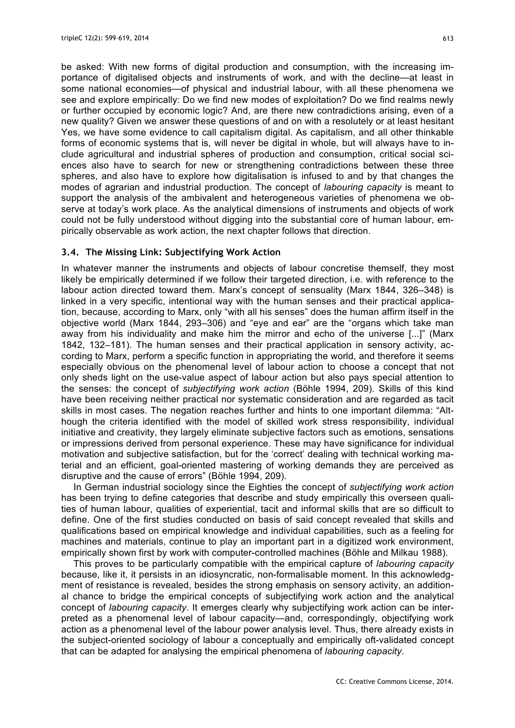be asked: With new forms of digital production and consumption, with the increasing importance of digitalised objects and instruments of work, and with the decline—at least in some national economies—of physical and industrial labour, with all these phenomena we see and explore empirically: Do we find new modes of exploitation? Do we find realms newly or further occupied by economic logic? And, are there new contradictions arising, even of a new quality? Given we answer these questions of and on with a resolutely or at least hesitant Yes, we have some evidence to call capitalism digital. As capitalism, and all other thinkable forms of economic systems that is, will never be digital in whole, but will always have to include agricultural and industrial spheres of production and consumption, critical social sciences also have to search for new or strengthening contradictions between these three spheres, and also have to explore how digitalisation is infused to and by that changes the modes of agrarian and industrial production. The concept of *labouring capacity* is meant to support the analysis of the ambivalent and heterogeneous varieties of phenomena we observe at today's work place. As the analytical dimensions of instruments and objects of work could not be fully understood without digging into the substantial core of human labour, empirically observable as work action, the next chapter follows that direction.

## **3.4. The Missing Link: Subjectifying Work Action**

In whatever manner the instruments and objects of labour concretise themself, they most likely be empirically determined if we follow their targeted direction, i.e. with reference to the labour action directed toward them. Marx's concept of sensuality (Marx 1844, 326–348) is linked in a very specific, intentional way with the human senses and their practical application, because, according to Marx, only "with all his senses" does the human affirm itself in the objective world (Marx 1844, 293–306) and "eye and ear" are the "organs which take man away from his individuality and make him the mirror and echo of the universe [...]" (Marx 1842, 132–181). The human senses and their practical application in sensory activity, according to Marx, perform a specific function in appropriating the world, and therefore it seems especially obvious on the phenomenal level of labour action to choose a concept that not only sheds light on the use-value aspect of labour action but also pays special attention to the senses: the concept of *subjectifying work action* (Böhle 1994, 209). Skills of this kind have been receiving neither practical nor systematic consideration and are regarded as tacit skills in most cases. The negation reaches further and hints to one important dilemma: "Although the criteria identified with the model of skilled work stress responsibility, individual initiative and creativity, they largely eliminate subjective factors such as emotions, sensations or impressions derived from personal experience. These may have significance for individual motivation and subjective satisfaction, but for the 'correct' dealing with technical working material and an efficient, goal-oriented mastering of working demands they are perceived as disruptive and the cause of errors" (Böhle 1994, 209).

In German industrial sociology since the Eighties the concept of *subjectifying work action* has been trying to define categories that describe and study empirically this overseen qualities of human labour, qualities of experiential, tacit and informal skills that are so difficult to define. One of the first studies conducted on basis of said concept revealed that skills and qualifications based on empirical knowledge and individual capabilities, such as a feeling for machines and materials, continue to play an important part in a digitized work environment, empirically shown first by work with computer-controlled machines (Böhle and Milkau 1988).

This proves to be particularly compatible with the empirical capture of *labouring capacity* because, like it, it persists in an idiosyncratic, non-formalisable moment. In this acknowledgment of resistance is revealed, besides the strong emphasis on sensory activity, an additional chance to bridge the empirical concepts of subjectifying work action and the analytical concept of *labouring capacity*. It emerges clearly why subjectifying work action can be interpreted as a phenomenal level of labour capacity—and, correspondingly, objectifying work action as a phenomenal level of the labour power analysis level. Thus, there already exists in the subject-oriented sociology of labour a conceptually and empirically oft-validated concept that can be adapted for analysing the empirical phenomena of *labouring capacity*.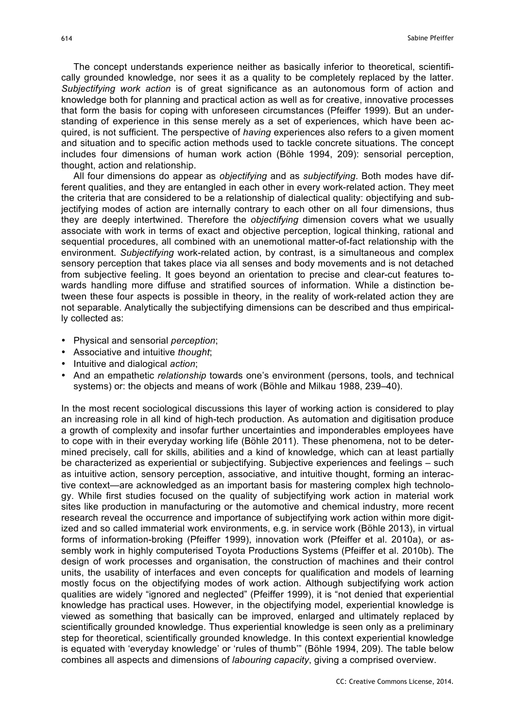The concept understands experience neither as basically inferior to theoretical, scientifically grounded knowledge, nor sees it as a quality to be completely replaced by the latter. *Subjectifying work action* is of great significance as an autonomous form of action and knowledge both for planning and practical action as well as for creative, innovative processes that form the basis for coping with unforeseen circumstances (Pfeiffer 1999). But an understanding of experience in this sense merely as a set of experiences, which have been acquired, is not sufficient. The perspective of *having* experiences also refers to a given moment and situation and to specific action methods used to tackle concrete situations. The concept includes four dimensions of human work action (Böhle 1994, 209): sensorial perception, thought, action and relationship.

All four dimensions do appear as *objectifying* and as *subjectifying*. Both modes have different qualities, and they are entangled in each other in every work-related action. They meet the criteria that are considered to be a relationship of dialectical quality: objectifying and subjectifying modes of action are internally contrary to each other on all four dimensions, thus they are deeply intertwined. Therefore the *objectifying* dimension covers what we usually associate with work in terms of exact and objective perception, logical thinking, rational and sequential procedures, all combined with an unemotional matter-of-fact relationship with the environment. *Subjectifying* work-related action, by contrast, is a simultaneous and complex sensory perception that takes place via all senses and body movements and is not detached from subjective feeling. It goes beyond an orientation to precise and clear-cut features towards handling more diffuse and stratified sources of information. While a distinction between these four aspects is possible in theory, in the reality of work-related action they are not separable. Analytically the subjectifying dimensions can be described and thus empirically collected as:

- Physical and sensorial *perception*;
- Associative and intuitive *thought*;
- Intuitive and dialogical *action*;
- And an empathetic *relationship* towards one's environment (persons, tools, and technical systems) or: the objects and means of work (Böhle and Milkau 1988, 239–40).

In the most recent sociological discussions this layer of working action is considered to play an increasing role in all kind of high-tech production. As automation and digitisation produce a growth of complexity and insofar further uncertainties and imponderables employees have to cope with in their everyday working life (Böhle 2011). These phenomena, not to be determined precisely, call for skills, abilities and a kind of knowledge, which can at least partially be characterized as experiential or subjectifying. Subjective experiences and feelings – such as intuitive action, sensory perception, associative, and intuitive thought, forming an interactive context—are acknowledged as an important basis for mastering complex high technology. While first studies focused on the quality of subjectifying work action in material work sites like production in manufacturing or the automotive and chemical industry, more recent research reveal the occurrence and importance of subjectifying work action within more digitized and so called immaterial work environments, e.g. in service work (Böhle 2013), in virtual forms of information-broking (Pfeiffer 1999), innovation work (Pfeiffer et al. 2010a), or assembly work in highly computerised Toyota Productions Systems (Pfeiffer et al. 2010b). The design of work processes and organisation, the construction of machines and their control units, the usability of interfaces and even concepts for qualification and models of learning mostly focus on the objectifying modes of work action. Although subjectifying work action qualities are widely "ignored and neglected" (Pfeiffer 1999), it is "not denied that experiential knowledge has practical uses. However, in the objectifying model, experiential knowledge is viewed as something that basically can be improved, enlarged and ultimately replaced by scientifically grounded knowledge. Thus experiential knowledge is seen only as a preliminary step for theoretical, scientifically grounded knowledge. In this context experiential knowledge is equated with 'everyday knowledge' or 'rules of thumb'" (Böhle 1994, 209). The table below combines all aspects and dimensions of *labouring capacity*, giving a comprised overview.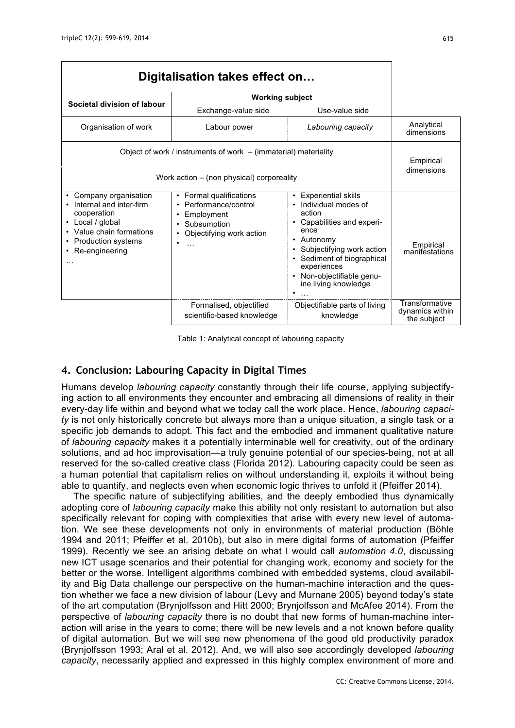| Digitalisation takes effect on                                                                                                                                                    |                                                                                                                                  |                                                                                                                                                                                                                                                  |                                                  |
|-----------------------------------------------------------------------------------------------------------------------------------------------------------------------------------|----------------------------------------------------------------------------------------------------------------------------------|--------------------------------------------------------------------------------------------------------------------------------------------------------------------------------------------------------------------------------------------------|--------------------------------------------------|
| Societal division of labour                                                                                                                                                       | <b>Working subject</b>                                                                                                           |                                                                                                                                                                                                                                                  |                                                  |
|                                                                                                                                                                                   | Exchange-value side                                                                                                              | Use-value side                                                                                                                                                                                                                                   |                                                  |
| Organisation of work                                                                                                                                                              | Labour power                                                                                                                     | Labouring capacity                                                                                                                                                                                                                               | Analytical<br>dimensions                         |
| Object of work / instruments of work $-$ (immaterial) materiality<br>Work action – (non physical) corporeality                                                                    |                                                                                                                                  |                                                                                                                                                                                                                                                  | Empirical<br>dimensions                          |
| Company organisation<br>Internal and inter-firm<br>cooperation<br>Local / global<br>٠<br>• Value chain formations<br>Production systems<br>$\bullet$<br>Re-engineering<br>$\cdot$ | Formal qualifications<br>٠<br>Performance/control<br>Employment<br>٠<br>Subsumption<br>Objectifying work action<br>٠<br>$\cdots$ | <b>Experiential skills</b><br>Individual modes of<br>action<br>Capabilities and experi-<br>ence<br>Autonomy<br>٠<br>Subjectifying work action<br>Sediment of biographical<br>experiences<br>Non-objectifiable genu-<br>ine living knowledge<br>٠ | Empirical<br>manifestations                      |
|                                                                                                                                                                                   | Formalised, objectified<br>scientific-based knowledge                                                                            | Objectifiable parts of living<br>knowledge                                                                                                                                                                                                       | Transformative<br>dynamics within<br>the subject |

Table 1: Analytical concept of labouring capacity

## **4. Conclusion: Labouring Capacity in Digital Times**

Humans develop *labouring capacity* constantly through their life course, applying subjectifying action to all environments they encounter and embracing all dimensions of reality in their every-day life within and beyond what we today call the work place. Hence, *labouring capacity* is not only historically concrete but always more than a unique situation, a single task or a specific job demands to adopt. This fact and the embodied and immanent qualitative nature of *labouring capacity* makes it a potentially interminable well for creativity, out of the ordinary solutions, and ad hoc improvisation—a truly genuine potential of our species-being, not at all reserved for the so-called creative class (Florida 2012). Labouring capacity could be seen as a human potential that capitalism relies on without understanding it, exploits it without being able to quantify, and neglects even when economic logic thrives to unfold it (Pfeiffer 2014).

The specific nature of subjectifying abilities, and the deeply embodied thus dynamically adopting core of *labouring capacity* make this ability not only resistant to automation but also specifically relevant for coping with complexities that arise with every new level of automation. We see these developments not only in environments of material production (Böhle 1994 and 2011; Pfeiffer et al. 2010b), but also in mere digital forms of automation (Pfeiffer 1999). Recently we see an arising debate on what I would call *automation 4.0*, discussing new ICT usage scenarios and their potential for changing work, economy and society for the better or the worse. Intelligent algorithms combined with embedded systems, cloud availability and Big Data challenge our perspective on the human-machine interaction and the question whether we face a new division of labour (Levy and Murnane 2005) beyond today's state of the art computation (Brynjolfsson and Hitt 2000; Brynjolfsson and McAfee 2014). From the perspective of *labouring capacity* there is no doubt that new forms of human-machine interaction will arise in the years to come; there will be new levels and a not known before quality of digital automation. But we will see new phenomena of the good old productivity paradox (Brynjolfsson 1993; Aral et al. 2012). And, we will also see accordingly developed *labouring capacity*, necessarily applied and expressed in this highly complex environment of more and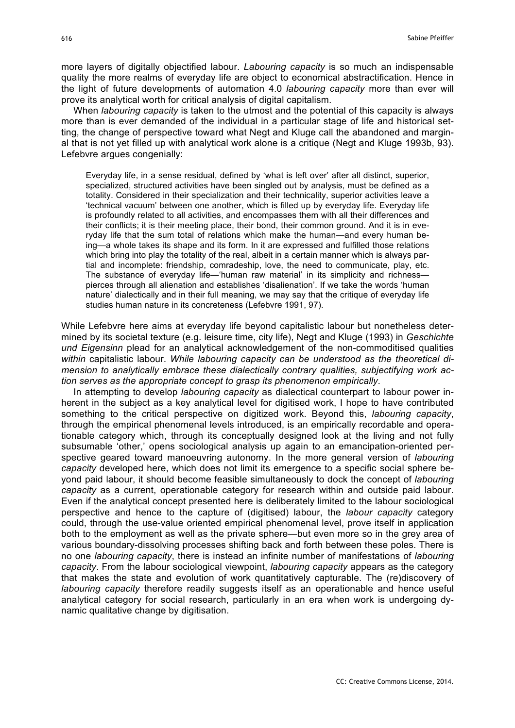more layers of digitally objectified labour. *Labouring capacity* is so much an indispensable quality the more realms of everyday life are object to economical abstractification. Hence in the light of future developments of automation 4.0 *labouring capacity* more than ever will prove its analytical worth for critical analysis of digital capitalism.

When *labouring capacity* is taken to the utmost and the potential of this capacity is always more than is ever demanded of the individual in a particular stage of life and historical setting, the change of perspective toward what Negt and Kluge call the abandoned and marginal that is not yet filled up with analytical work alone is a critique (Negt and Kluge 1993b, 93). Lefebvre argues congenially:

Everyday life, in a sense residual, defined by 'what is left over' after all distinct, superior, specialized, structured activities have been singled out by analysis, must be defined as a totality. Considered in their specialization and their technicality, superior activities leave a 'technical vacuum' between one another, which is filled up by everyday life. Everyday life is profoundly related to all activities, and encompasses them with all their differences and their conflicts; it is their meeting place, their bond, their common ground. And it is in everyday life that the sum total of relations which make the human—and every human being—a whole takes its shape and its form. In it are expressed and fulfilled those relations which bring into play the totality of the real, albeit in a certain manner which is always partial and incomplete: friendship, comradeship, love, the need to communicate, play, etc. The substance of everyday life—'human raw material' in its simplicity and richness pierces through all alienation and establishes 'disalienation'. If we take the words 'human nature' dialectically and in their full meaning, we may say that the critique of everyday life studies human nature in its concreteness (Lefebvre 1991, 97).

While Lefebvre here aims at everyday life beyond capitalistic labour but nonetheless determined by its societal texture (e.g. leisure time, city life), Negt and Kluge (1993) in *Geschichte und Eigensinn* plead for an analytical acknowledgement of the non-commoditised qualities *within* capitalistic labour. *While labouring capacity can be understood as the theoretical dimension to analytically embrace these dialectically contrary qualities, subjectifying work action serves as the appropriate concept to grasp its phenomenon empirically*.

In attempting to develop *labouring capacity* as dialectical counterpart to labour power inherent in the subject as a key analytical level for digitised work. I hope to have contributed something to the critical perspective on digitized work. Beyond this, *labouring capacity*, through the empirical phenomenal levels introduced, is an empirically recordable and operationable category which, through its conceptually designed look at the living and not fully subsumable 'other,' opens sociological analysis up again to an emancipation-oriented perspective geared toward manoeuvring autonomy. In the more general version of *labouring capacity* developed here, which does not limit its emergence to a specific social sphere beyond paid labour, it should become feasible simultaneously to dock the concept of *labouring capacity* as a current, operationable category for research within and outside paid labour. Even if the analytical concept presented here is deliberately limited to the labour sociological perspective and hence to the capture of (digitised) labour, the *labour capacity* category could, through the use-value oriented empirical phenomenal level, prove itself in application both to the employment as well as the private sphere—but even more so in the grey area of various boundary-dissolving processes shifting back and forth between these poles. There is no one *labouring capacity*, there is instead an infinite number of manifestations of *labouring capacity*. From the labour sociological viewpoint, *labouring capacity* appears as the category that makes the state and evolution of work quantitatively capturable. The (re)discovery of *labouring capacity* therefore readily suggests itself as an operationable and hence useful analytical category for social research, particularly in an era when work is undergoing dynamic qualitative change by digitisation.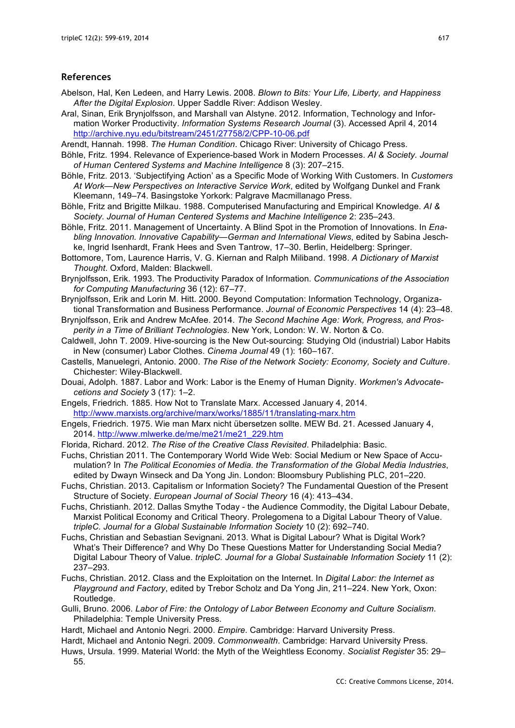#### **References**

- Abelson, Hal, Ken Ledeen, and Harry Lewis. 2008. *Blown to Bits: Your Life, Liberty, and Happiness After the Digital Explosion*. Upper Saddle River: Addison Wesley.
- Aral, Sinan, Erik Brynjolfsson, and Marshall van Alstyne. 2012. Information, Technology and Information Worker Productivity. *Information Systems Research Journal* (3). Accessed April 4, 2014 http://archive.nyu.edu/bitstream/2451/27758/2/CPP-10-06.pdf
- Arendt, Hannah. 1998. *The Human Condition*. Chicago River: University of Chicago Press.
- Böhle, Fritz. 1994. Relevance of Experience-based Work in Modern Processes. *AI & Society. Journal of Human Centered Systems and Machine Intelligence* 8 (3): 207–215.
- Böhle, Fritz. 2013. 'Subjectifying Action' as a Specific Mode of Working With Customers. In *Customers At Work—New Perspectives on Interactive Service Work*, edited by Wolfgang Dunkel and Frank Kleemann, 149–74. Basingstoke Yorkork: Palgrave Macmillanago Press.
- Böhle, Fritz and Brigitte Milkau. 1988. Computerised Manufacturing and Empirical Knowledge. *AI & Society. Journal of Human Centered Systems and Machine Intelligence* 2: 235–243.
- Böhle, Fritz. 2011. Management of Uncertainty. A Blind Spot in the Promotion of Innovations. In *Enabling Innovation. Innovative Capability—German and International Views*, edited by Sabina Jeschke, Ingrid Isenhardt, Frank Hees and Sven Tantrow, 17–30. Berlin, Heidelberg: Springer.
- Bottomore, Tom, Laurence Harris, V. G. Kiernan and Ralph Miliband. 1998. *A Dictionary of Marxist Thought*. Oxford, Malden: Blackwell.
- Brynjolfsson, Erik. 1993. The Productivity Paradox of Information. *Communications of the Association for Computing Manufacturing* 36 (12): 67–77.
- Brynjolfsson, Erik and Lorin M. Hitt. 2000. Beyond Computation: Information Technology, Organizational Transformation and Business Performance. *Journal of Economic Perspectives* 14 (4): 23–48.
- Brynjolfsson, Erik and Andrew McAfee. 2014. *The Second Machine Age: Work, Progress, and Prosperity in a Time of Brilliant Technologies*. New York, London: W. W. Norton & Co.
- Caldwell, John T. 2009. Hive-sourcing is the New Out-sourcing: Studying Old (industrial) Labor Habits in New (consumer) Labor Clothes. *Cinema Journal* 49 (1): 160–167.
- Castells, Manuelegri, Antonio. 2000. *The Rise of the Network Society: Economy, Society and Culture*. Chichester: Wiley-Blackwell.
- Douai, Adolph. 1887. Labor and Work: Labor is the Enemy of Human Dignity. *Workmen's Advocatecetions and Society* 3 (17): 1–2.
- Engels, Friedrich. 1885. How Not to Translate Marx. Accessed January 4, 2014. http://www.marxists.org/archive/marx/works/1885/11/translating-marx.htm
- Engels, Friedrich. 1975. Wie man Marx nicht übersetzen sollte. MEW Bd. 21. Acessed January 4, 2014. http://www.mlwerke.de/me/me21/me21\_229.htm
- Florida, Richard. 2012. *The Rise of the Creative Class Revisited*. Philadelphia: Basic.
- Fuchs, Christian 2011. The Contemporary World Wide Web: Social Medium or New Space of Accumulation? In *The Political Economies of Media. the Transformation of the Global Media Industries*, edited by Dwayn Winseck and Da Yong Jin. London: Bloomsbury Publishing PLC, 201–220.
- Fuchs, Christian. 2013. Capitalism or Information Society? The Fundamental Question of the Present Structure of Society. *European Journal of Social Theory* 16 (4): 413–434.
- Fuchs, Christianh. 2012. Dallas Smythe Today the Audience Commodity, the Digital Labour Debate, Marxist Political Economy and Critical Theory. Prolegomena to a Digital Labour Theory of Value. *tripleC. Journal for a Global Sustainable Information Society* 10 (2): 692–740.
- Fuchs, Christian and Sebastian Sevignani. 2013. What is Digital Labour? What is Digital Work? What's Their Difference? and Why Do These Questions Matter for Understanding Social Media? Digital Labour Theory of Value. *tripleC. Journal for a Global Sustainable Information Society* 11 (2): 237–293.
- Fuchs, Christian. 2012. Class and the Exploitation on the Internet. In *Digital Labor: the Internet as Playground and Factory*, edited by Trebor Scholz and Da Yong Jin, 211–224. New York, Oxon: Routledge.
- Gulli, Bruno. 2006. *Labor of Fire: the Ontology of Labor Between Economy and Culture Socialism*. Philadelphia: Temple University Press.
- Hardt, Michael and Antonio Negri. 2000. *Empire*. Cambridge: Harvard University Press.
- Hardt, Michael and Antonio Negri. 2009. *Commonwealth*. Cambridge: Harvard University Press.
- Huws, Ursula. 1999. Material World: the Myth of the Weightless Economy. *Socialist Register* 35: 29– 55.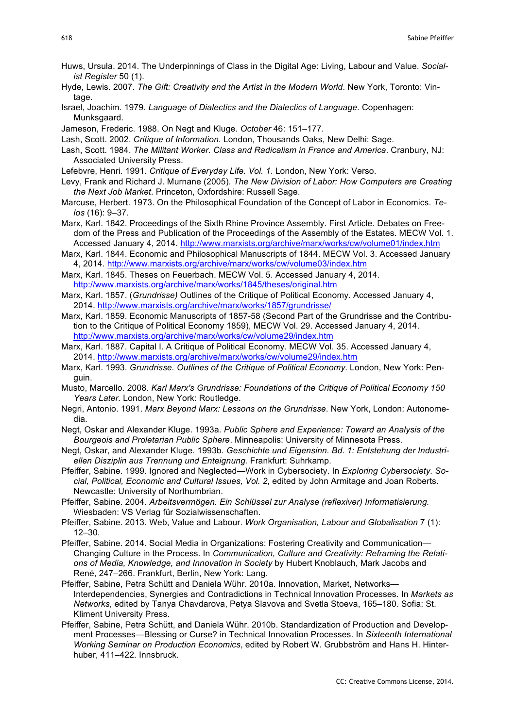- Huws, Ursula. 2014. The Underpinnings of Class in the Digital Age: Living, Labour and Value. *Socialist Register* 50 (1).
- Hyde, Lewis. 2007. *The Gift: Creativity and the Artist in the Modern World*. New York, Toronto: Vintage.
- Israel, Joachim. 1979. *Language of Dialectics and the Dialectics of Language*. Copenhagen: Munksgaard.
- Jameson, Frederic. 1988. On Negt and Kluge. *October* 46: 151–177.
- Lash, Scott. 2002. *Critique of Information*. London, Thousands Oaks, New Delhi: Sage.
- Lash, Scott. 1984. *The Militant Worker. Class and Radicalism in France and America*. Cranbury, NJ: Associated University Press.
- Lefebvre, Henri. 1991. *Critique of Everyday Life. Vol. 1*. London, New York: Verso.
- Levy, Frank and Richard J. Murnane (2005). *The New Division of Labor: How Computers are Creating the Next Job Market*. Princeton, Oxfordshire: Russell Sage.
- Marcuse, Herbert. 1973. On the Philosophical Foundation of the Concept of Labor in Economics. *Telos* (16): 9–37.
- Marx, Karl. 1842. Proceedings of the Sixth Rhine Province Assembly. First Article. Debates on Freedom of the Press and Publication of the Proceedings of the Assembly of the Estates. MECW Vol. 1. Accessed January 4, 2014. http://www.marxists.org/archive/marx/works/cw/volume01/index.htm
- Marx, Karl. 1844. Economic and Philosophical Manuscripts of 1844. MECW Vol. 3. Accessed January 4, 2014. http://www.marxists.org/archive/marx/works/cw/volume03/index.htm
- Marx, Karl. 1845. Theses on Feuerbach. MECW Vol. 5. Accessed January 4, 2014. http://www.marxists.org/archive/marx/works/1845/theses/original.htm
- Marx, Karl. 1857. (*Grundrisse)* Outlines of the Critique of Political Economy. Accessed January 4, 2014. http://www.marxists.org/archive/marx/works/1857/grundrisse/
- Marx, Karl. 1859. Economic Manuscripts of 1857-58 (Second Part of the Grundrisse and the Contribution to the Critique of Political Economy 1859), MECW Vol. 29. Accessed January 4, 2014. http://www.marxists.org/archive/marx/works/cw/volume29/index.htm
- Marx, Karl. 1887. Capital I. A Critique of Political Economy. MECW Vol. 35. Accessed January 4, 2014. http://www.marxists.org/archive/marx/works/cw/volume29/index.htm
- Marx, Karl. 1993. *Grundrisse. Outlines of the Critique of Political Economy*. London, New York: Penguin.
- Musto, Marcello. 2008. *Karl Marx's Grundrisse: Foundations of the Critique of Political Economy 150 Years Later.* London, New York: Routledge.
- Negri, Antonio. 1991. *Marx Beyond Marx: Lessons on the Grundrisse*. New York, London: Autonomedia.
- Negt, Oskar and Alexander Kluge. 1993a. *Public Sphere and Experience: Toward an Analysis of the Bourgeois and Proletarian Public Sphere*. Minneapolis: University of Minnesota Press.
- Negt, Oskar, and Alexander Kluge. 1993b. *Geschichte und Eigensinn. Bd. 1: Entstehung der Industriellen Disziplin aus Trennung und Enteignung.* Frankfurt: Suhrkamp.
- Pfeiffer, Sabine. 1999. Ignored and Neglected—Work in Cybersociety. In *Exploring Cybersociety. Social, Political, Economic and Cultural Issues, Vol. 2*, edited by John Armitage and Joan Roberts. Newcastle: University of Northumbrian.
- Pfeiffer, Sabine. 2004. *Arbeitsvermögen. Ein Schlüssel zur Analyse (reflexiver) Informatisierung.* Wiesbaden: VS Verlag für Sozialwissenschaften.
- Pfeiffer, Sabine. 2013. Web, Value and Labour. *Work Organisation, Labour and Globalisation* 7 (1): 12–30.
- Pfeiffer, Sabine. 2014. Social Media in Organizations: Fostering Creativity and Communication— Changing Culture in the Process. In *Communication, Culture and Creativity: Reframing the Relations of Media, Knowledge, and Innovation in Society* by Hubert Knoblauch, Mark Jacobs and René, 247–266. Frankfurt, Berlin, New York: Lang.
- Pfeiffer, Sabine, Petra Schütt and Daniela Wühr. 2010a. Innovation, Market, Networks— Interdependencies, Synergies and Contradictions in Technical Innovation Processes. In *Markets as Networks*, edited by Tanya Chavdarova, Petya Slavova and Svetla Stoeva, 165–180. Sofia: St. Kliment University Press.
- Pfeiffer, Sabine, Petra Schütt, and Daniela Wühr. 2010b. Standardization of Production and Development Processes—Blessing or Curse? in Technical Innovation Processes. In *Sixteenth International Working Seminar on Production Economics*, edited by Robert W. Grubbström and Hans H. Hinterhuber, 411–422. Innsbruck.